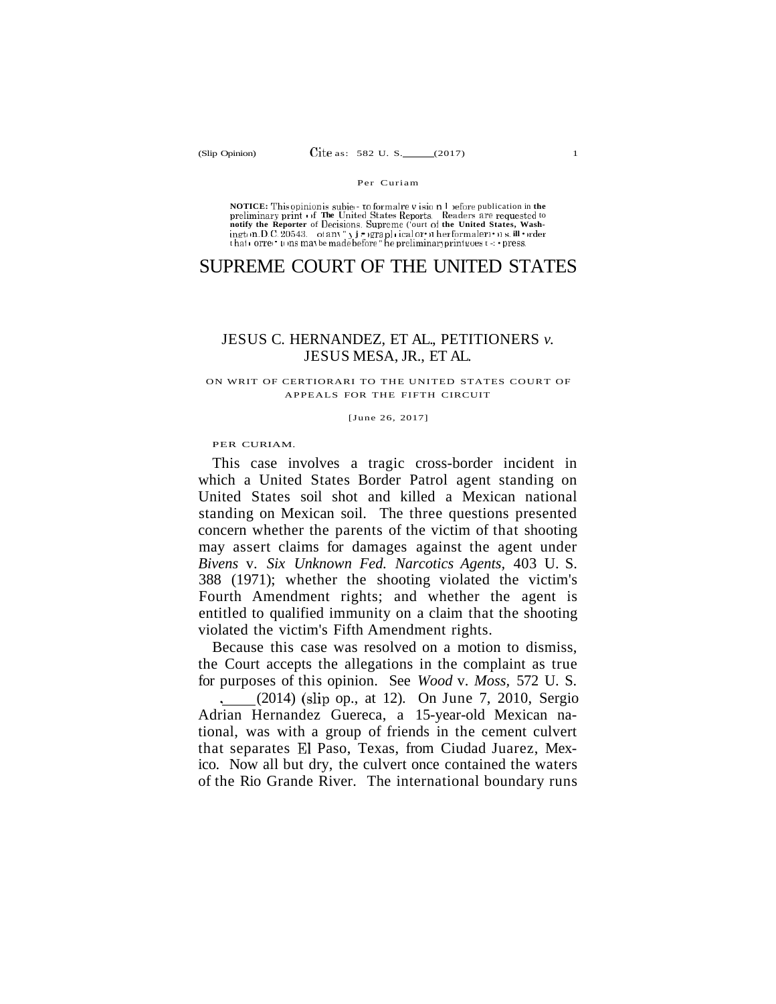#### Per Curiam

NOTICE: Thisopinionis subjet- to formalre v isio n 1 vefore publication in the<br>preliminary print of The United States Reports. Readers are requested to<br>notify the Reporter of Decisions. Supreme ('ourt of the United State ingt n.D.C. 20543. of any " y j = grapl ical or = n her formaler = n s. ill - rder<br>that = orre = u ms may be made before " he preliminaryprint eoest = - press.

# SUPREME COURT OF THE UNITED STATES

### JESUS C. HERNANDEZ, ET AL., PETITIONERS *v.*  JESUS MESA, JR., ET AL.

#### ON WRIT OF CERTIORARI TO THE UNITED STATES COURT OF APPEALS FOR THE FIFTH CIRCUIT

[June 26, 2017]

PER CURIAM.

This case involves a tragic cross-border incident in which a United States Border Patrol agent standing on United States soil shot and killed a Mexican national standing on Mexican soil. The three questions presented concern whether the parents of the victim of that shooting may assert claims for damages against the agent under *Bivens* v. *Six Unknown Fed. Narcotics Agents,* 403 U. S. 388 (1971); whether the shooting violated the victim's Fourth Amendment rights; and whether the agent is entitled to qualified immunity on a claim that the shooting violated the victim's Fifth Amendment rights.

Because this case was resolved on a motion to dismiss, the Court accepts the allegations in the complaint as true for purposes of this opinion. See *Wood* v. *Moss,* 572 U. S.

. (2014) (slip op., at 12). On June 7, 2010, Sergio Adrian Hernandez Guereca, a 15-year-old Mexican national, was with a group of friends in the cement culvert that separates El Paso, Texas, from Ciudad Juarez, Mexico. Now all but dry, the culvert once contained the waters of the Rio Grande River. The international boundary runs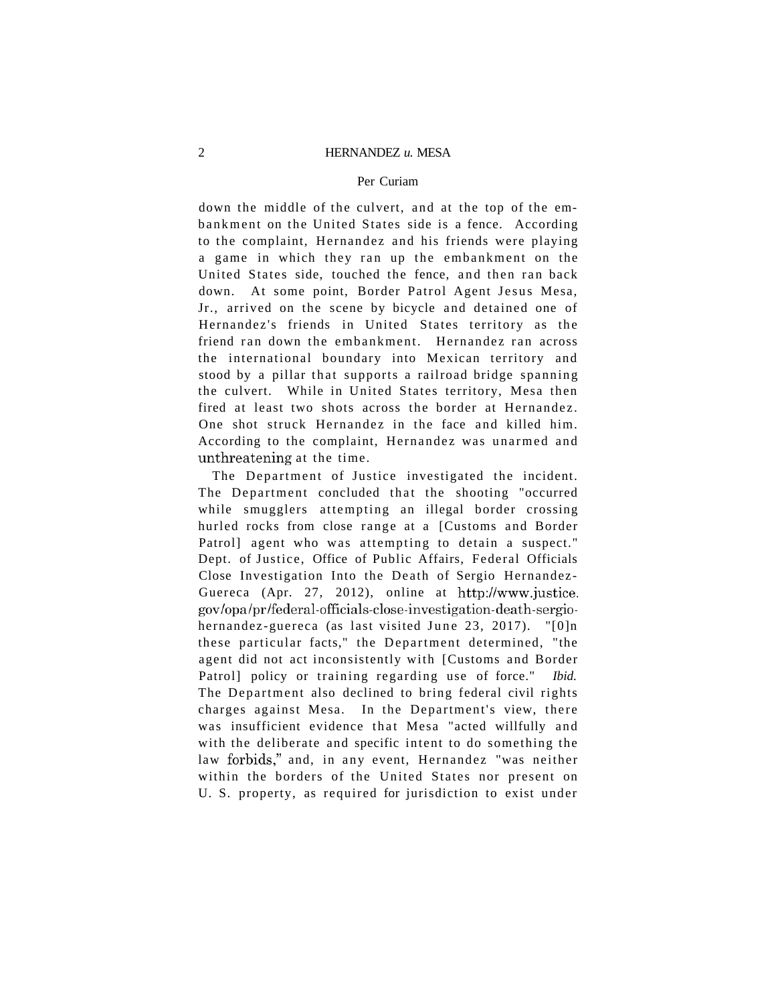#### Per Curiam

down the middle of the culvert, and at the top of the embankment on the United States side is a fence. According to the complaint. Hernandez and his friends were playing a game in which they ran up the embankment on the United States side, touched the fence, and then ran back down. At some point, Border Patrol Agent Jesus Mesa, Jr., arrived on the scene by bicycle and detained one of Hernandez's friends in United States territory as the friend ran down the embankment. Hernandez ran across the international boundary into Mexican territory and stood by a pillar that supports a railroad bridge spanning the culvert. While in United States territory, Mesa then fired at least two shots across the border at Hernandez. One shot struck Hernandez in the face and killed him. According to the complaint, Hernandez was unarmed and unthreatening at the time.

The Department of Justice investigated the incident. The Department concluded that the shooting "occurred while smugglers attempting an illegal border crossing hurled rocks from close range at a [Customs and Border Patrol] agent who was attempting to detain a suspect." Dept. of Justice, Office of Public Affairs, Federal Officials Close Investigation Into the Death of Sergio Hernandez-Guereca (Apr. 27, 2012), online at [http://www.justice,](http://www.justice) gov/opa/pr/federal-officials-close-investigation-death-sergiohernandez-guereca (as last visited June 23, 2017). "[0]n these particular facts," the Department determined, "the agent did not act inconsistently with [Customs and Border Patrol] policy or training regarding use of force." *Ibid.*  The Department also declined to bring federal civil rights charges against Mesa. In the Department's view, there was insufficient evidence that Mesa "acted willfully and with the deliberate and specific intent to do something the law forbids," and, in any event, Hernandez "was neither within the borders of the United States nor present on U. S. property, as required for jurisdiction to exist under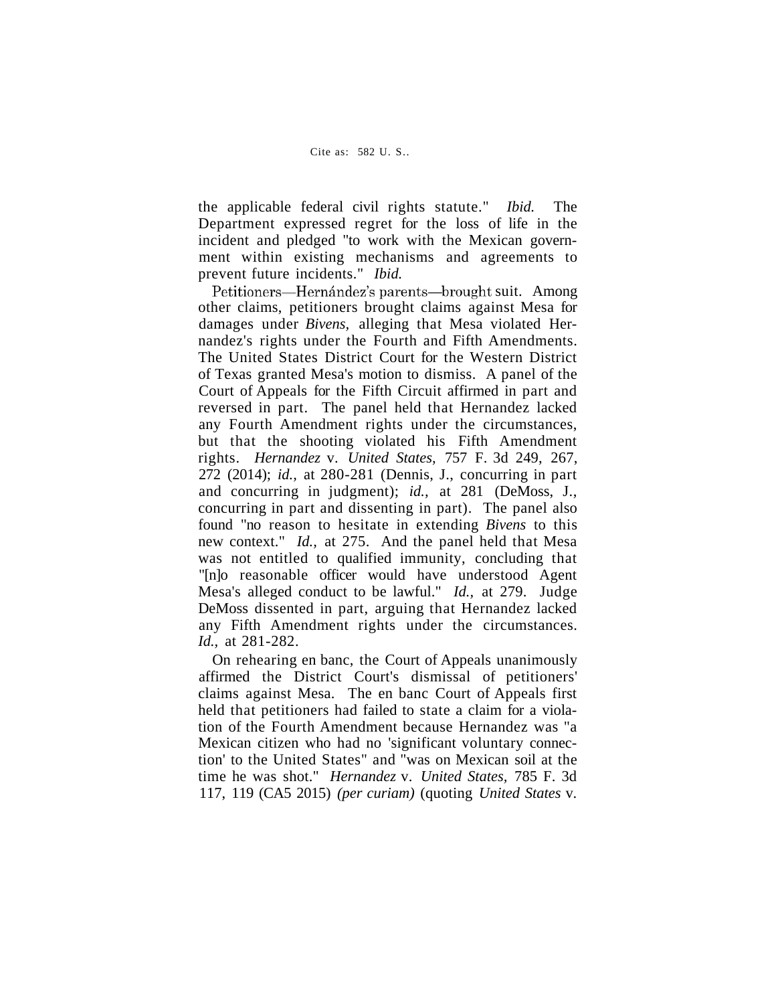the applicable federal civil rights statute." *Ibid.* The Department expressed regret for the loss of life in the incident and pledged "to work with the Mexican government within existing mechanisms and agreements to prevent future incidents." *Ibid.* 

Petitioners—Hernández's parents—brought suit. Among other claims, petitioners brought claims against Mesa for damages under *Bivens,* alleging that Mesa violated Hernandez's rights under the Fourth and Fifth Amendments. The United States District Court for the Western District of Texas granted Mesa's motion to dismiss. A panel of the Court of Appeals for the Fifth Circuit affirmed in part and reversed in part. The panel held that Hernandez lacked any Fourth Amendment rights under the circumstances, but that the shooting violated his Fifth Amendment rights. *Hernandez* v. *United States,* 757 F. 3d 249, 267, 272 (2014); *id.,* at 280-281 (Dennis, J., concurring in part and concurring in judgment); *id.,* at 281 (DeMoss, J., concurring in part and dissenting in part). The panel also found "no reason to hesitate in extending *Bivens* to this new context." *Id.,* at 275. And the panel held that Mesa was not entitled to qualified immunity, concluding that "[n]o reasonable officer would have understood Agent Mesa's alleged conduct to be lawful." *Id.,* at 279. Judge DeMoss dissented in part, arguing that Hernandez lacked any Fifth Amendment rights under the circumstances. *Id.,* at 281-282.

On rehearing en banc, the Court of Appeals unanimously affirmed the District Court's dismissal of petitioners' claims against Mesa. The en banc Court of Appeals first held that petitioners had failed to state a claim for a violation of the Fourth Amendment because Hernandez was "a Mexican citizen who had no 'significant voluntary connection' to the United States" and "was on Mexican soil at the time he was shot." *Hernandez* v. *United States,* 785 F. 3d 117, 119 (CA5 2015) *(per curiam)* (quoting *United States* v.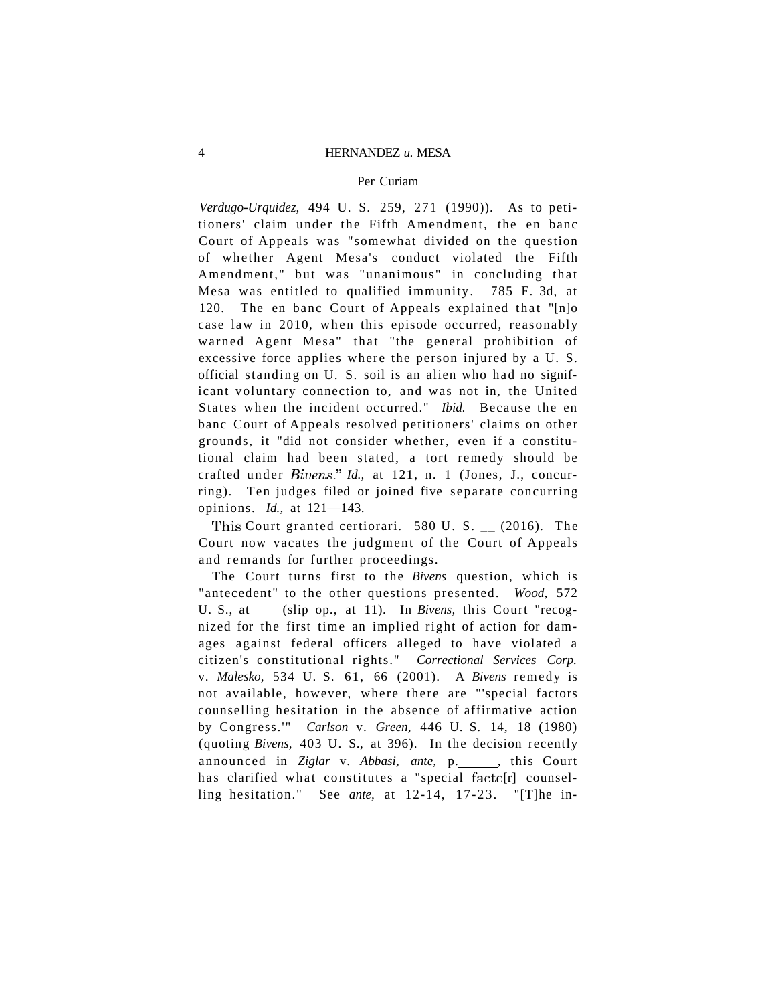#### Per Curiam

*Verdugo-Urquidez,* 494 U. S. 259, 271 (1990)). As to petitioners' claim under the Fifth Amendment, the en banc Court of Appeals was "somewhat divided on the question of whether Agent Mesa's conduct violated the Fifth Amendment," but was "unanimous" in concluding that Mesa was entitled to qualified immunity. 785 F. 3d, at 120. The en banc Court of Appeals explained that "[n]o case law in 2010, when this episode occurred, reasonably warned Agent Mesa" that "the general prohibition of excessive force applies where the person injured by a U. S. official standing on U. S. soil is an alien who had no significant voluntary connection to, and was not in, the United States when the incident occurred." *Ibid.* Because the en banc Court of Appeals resolved petitioners' claims on other grounds, it "did not consider whether, even if a constitutional claim had been stated, a tort remedy should be crafted under *Bivens." Id.*, at 121, n. 1 (Jones, J., concurring). Ten judges filed or joined five separate concurring opinions. *Id.,* at 121—143.

This Court granted certiorari. 580 U. S. \_\_ (2016). The Court now vacates the judgment of the Court of Appeals and remands for further proceedings.

The Court turns first to the *Bivens* question, which is "antecedent" to the other questions presented. *Wood,* 572 U. S., at \_\_\_(slip op., at 11). In Bivens, this Court "recognized for the first time an implied right of action for damages against federal officers alleged to have violated a citizen's constitutional rights." *Correctional Services Corp.*  v. *Malesko,* 534 U. S. 61, 66 (2001). A *Bivens* remedy is not available, however, where there are "'special factors counselling hesitation in the absence of affirmative action by Congress.'" *Carlson* v. *Green,* 446 U. S. 14, 18 (1980) (quoting *Bivens,* 403 U. S., at 396). In the decision recently announced in Ziglar v. Abbasi, ante, p. \_\_\_\_, this Court has clarified what constitutes a "special facto [r] counselling hesitation." See *ante,* at 12-14, 17-23. "[T]he in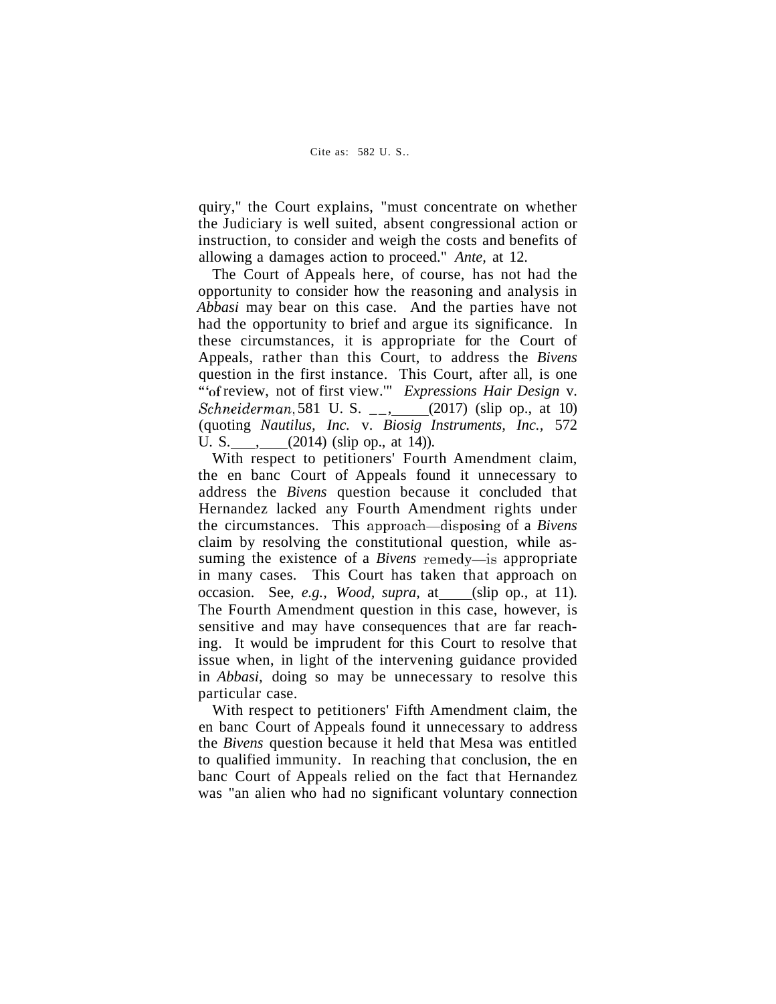quiry," the Court explains, "must concentrate on whether the Judiciary is well suited, absent congressional action or instruction, to consider and weigh the costs and benefits of allowing a damages action to proceed." *Ante,* at 12.

The Court of Appeals here, of course, has not had the opportunity to consider how the reasoning and analysis in *Abbasi* may bear on this case. And the parties have not had the opportunity to brief and argue its significance. In these circumstances, it is appropriate for the Court of Appeals, rather than this Court, to address the *Bivens*  question in the first instance. This Court, after all, is one '"of review, not of first view.'" *Expressions Hair Design* v. *Schneiderman,* 581 U. S. \_\_, \_\_\_ (2017) (slip op., at 10) (quoting *Nautilus, Inc.* v. *Biosig Instruments, Inc.,* 572 U. S.  $\qquad \qquad (2014)$  (slip op., at 14)).

With respect to petitioners' Fourth Amendment claim, the en banc Court of Appeals found it unnecessary to address the *Bivens* question because it concluded that Hernandez lacked any Fourth Amendment rights under the circumstances. This approach—disposing of a *Bivens*  claim by resolving the constitutional question, while assuming the existence of a *Bivens* remedy—is appropriate in many cases. This Court has taken that approach on occasion. See, *e.g., Wood, supra*, at (slip op., at 11). The Fourth Amendment question in this case, however, is sensitive and may have consequences that are far reaching. It would be imprudent for this Court to resolve that issue when, in light of the intervening guidance provided in *Abbasi,* doing so may be unnecessary to resolve this particular case.

With respect to petitioners' Fifth Amendment claim, the en banc Court of Appeals found it unnecessary to address the *Bivens* question because it held that Mesa was entitled to qualified immunity. In reaching that conclusion, the en banc Court of Appeals relied on the fact that Hernandez was "an alien who had no significant voluntary connection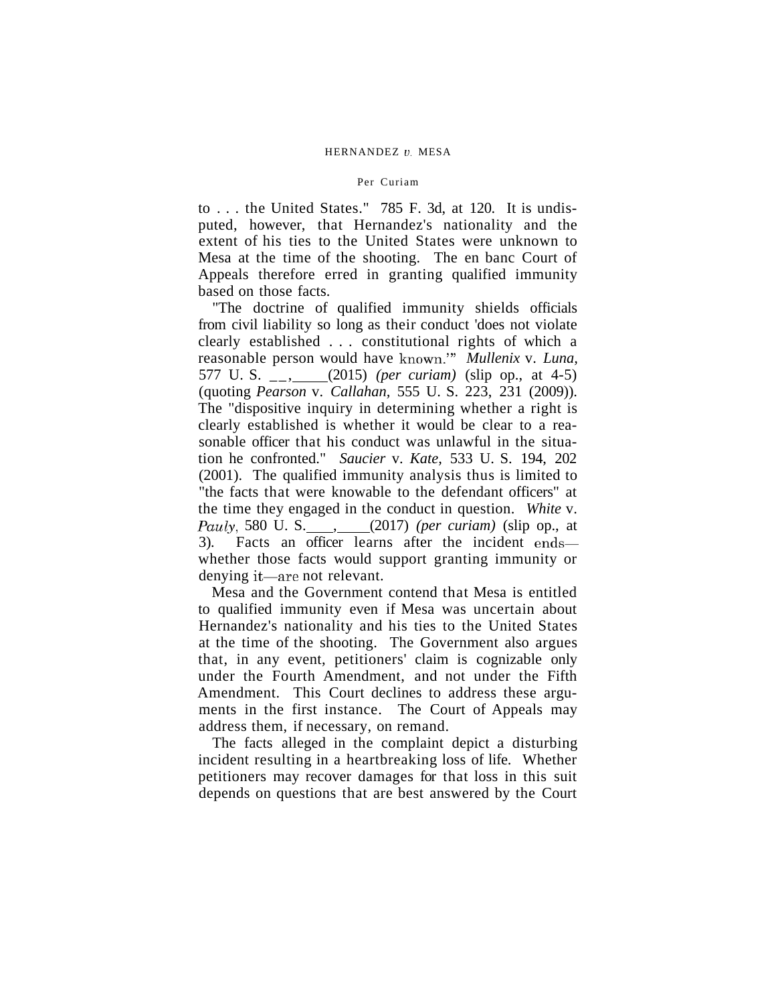#### Per Curiam

to . . . the United States." 785 F. 3d, at 120. It is undisputed, however, that Hernandez's nationality and the extent of his ties to the United States were unknown to Mesa at the time of the shooting. The en banc Court of Appeals therefore erred in granting qualified immunity based on those facts.

"The doctrine of qualified immunity shields officials from civil liability so long as their conduct 'does not violate clearly established . . . constitutional rights of which a reasonable person would have known.'" *Mullenix* v. *Luna,*  577 U. S. \_\_, (2015) *(per curiam)* (slip op., at 4-5) (quoting *Pearson* v. *Callahan,* 555 U. S. 223, 231 (2009)). The "dispositive inquiry in determining whether a right is clearly established is whether it would be clear to a reasonable officer that his conduct was unlawful in the situation he confronted." *Saucier* v. *Kate,* 533 U. S. 194, 202 (2001). The qualified immunity analysis thus is limited to "the facts that were knowable to the defendant officers" at the time they engaged in the conduct in question. *White* v. *Pauly,* 580 U. S. , (2017) *(per curiam)* (slip op., at 3). Facts an officer learns after the incident ends whether those facts would support granting immunity or denying it—are not relevant.

Mesa and the Government contend that Mesa is entitled to qualified immunity even if Mesa was uncertain about Hernandez's nationality and his ties to the United States at the time of the shooting. The Government also argues that, in any event, petitioners' claim is cognizable only under the Fourth Amendment, and not under the Fifth Amendment. This Court declines to address these arguments in the first instance. The Court of Appeals may address them, if necessary, on remand.

The facts alleged in the complaint depict a disturbing incident resulting in a heartbreaking loss of life. Whether petitioners may recover damages for that loss in this suit depends on questions that are best answered by the Court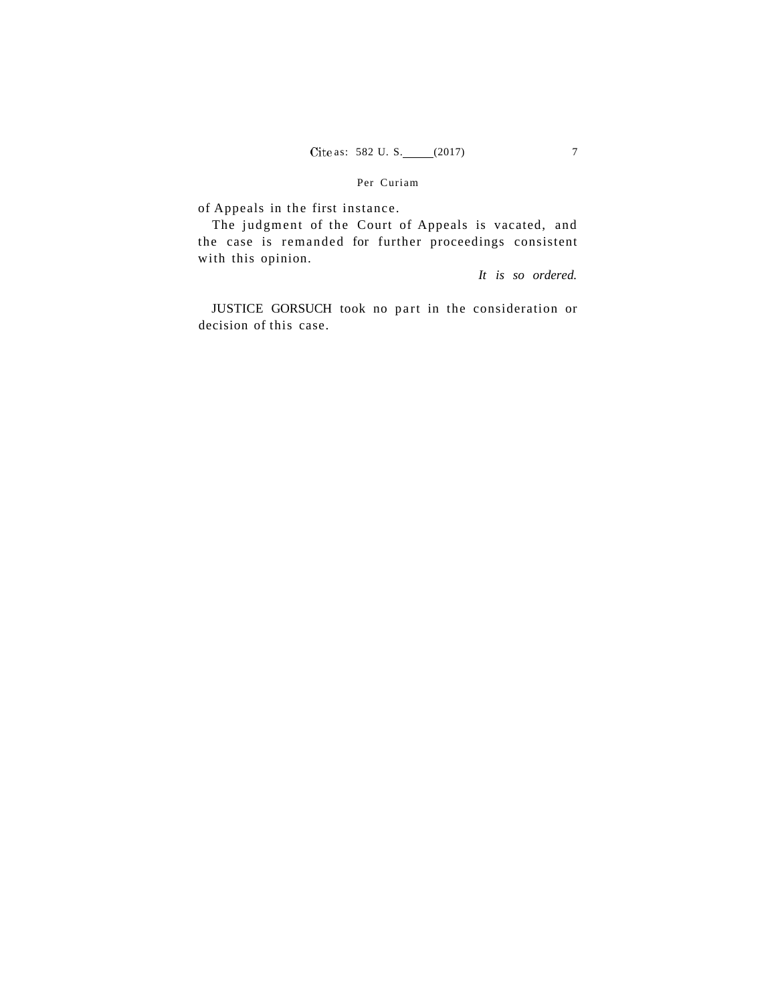#### Per Curiam

of Appeals in the first instance.

The judgment of the Court of Appeals is vacated, and the case is remanded for further proceedings consistent with this opinion.

*It is so ordered.* 

JUSTICE GORSUCH took no part in the consideration or decision of this case.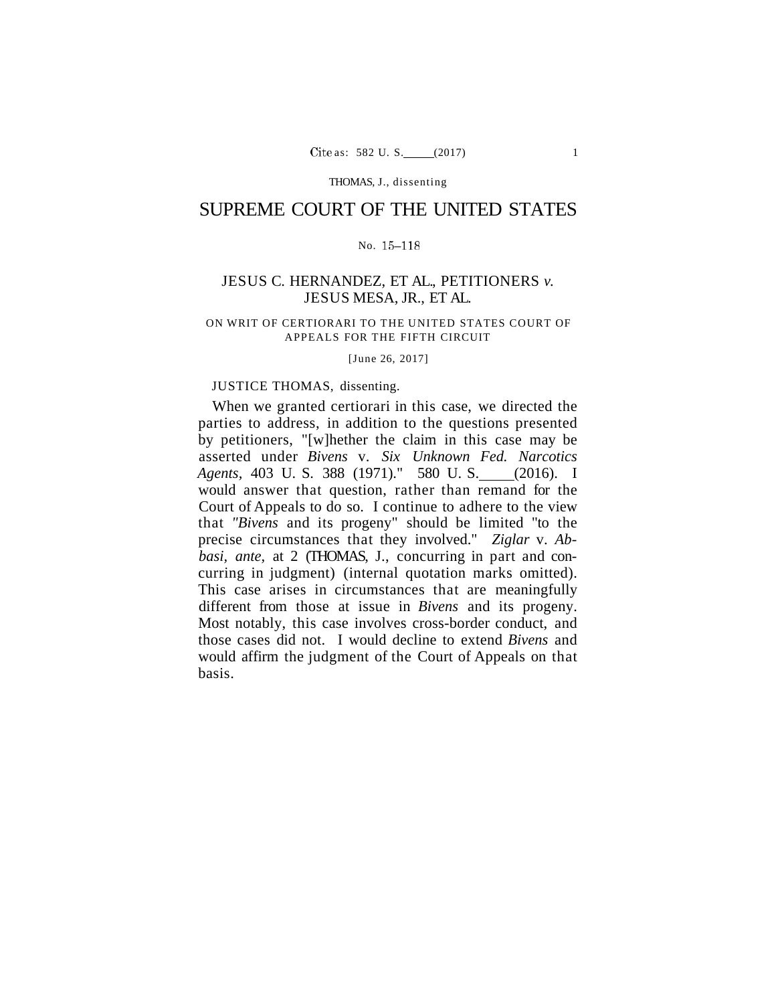THOMAS, J., dissenting

# SUPREME COURT OF THE UNITED STATES

## No. 15-118

# JESUS C. HERNANDEZ, ET AL., PETITIONERS *v.*  JESUS MESA, JR., ET AL.

#### ON WRIT OF CERTIORARI TO THE UNITED STATES COURT OF APPEALS FOR THE FIFTH CIRCUIT

[June 26, 2017]

### JUSTICE THOMAS, dissenting.

When we granted certiorari in this case, we directed the parties to address, in addition to the questions presented by petitioners, "[w]hether the claim in this case may be asserted under *Bivens* v. *Six Unknown Fed. Narcotics Agents,* 403 U. S. 388 (1971)." 580 U. S. (2016). I would answer that question, rather than remand for the Court of Appeals to do so. I continue to adhere to the view that *"Bivens* and its progeny" should be limited "to the precise circumstances that they involved." *Ziglar* v. *Abbasi, ante,* at 2 (THOMAS, J., concurring in part and concurring in judgment) (internal quotation marks omitted). This case arises in circumstances that are meaningfully different from those at issue in *Bivens* and its progeny. Most notably, this case involves cross-border conduct, and those cases did not. I would decline to extend *Bivens* and would affirm the judgment of the Court of Appeals on that basis.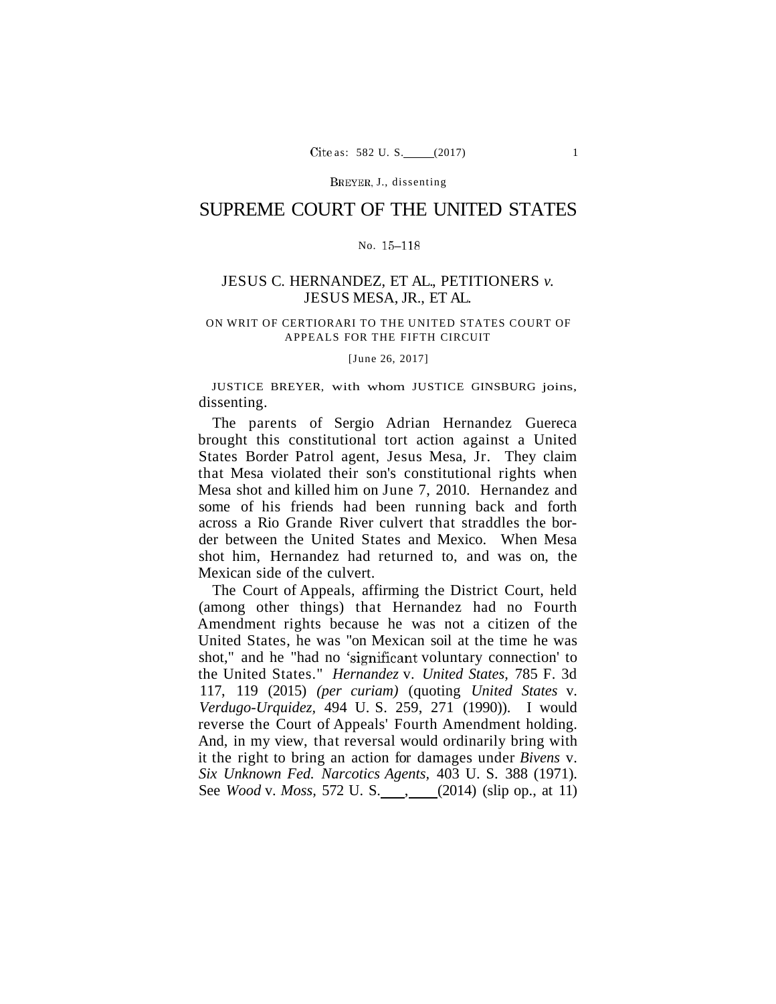BREYER, J., dissenting

# SUPREME COURT OF THE UNITED STATES

#### No. 15-118

## JESUS C. HERNANDEZ, ET AL., PETITIONERS *v.*  JESUS MESA, JR., ET AL.

#### ON WRIT OF CERTIORARI TO THE UNITED STATES COURT OF APPEALS FOR THE FIFTH CIRCUIT

[June 26, 2017]

JUSTICE BREYER, with whom JUSTICE GINSBURG joins, dissenting.

The parents of Sergio Adrian Hernandez Guereca brought this constitutional tort action against a United States Border Patrol agent, Jesus Mesa, Jr. They claim that Mesa violated their son's constitutional rights when Mesa shot and killed him on June 7, 2010. Hernandez and some of his friends had been running back and forth across a Rio Grande River culvert that straddles the border between the United States and Mexico. When Mesa shot him, Hernandez had returned to, and was on, the Mexican side of the culvert.

The Court of Appeals, affirming the District Court, held (among other things) that Hernandez had no Fourth Amendment rights because he was not a citizen of the United States, he was "on Mexican soil at the time he was shot," and he "had no 'significant voluntary connection' to the United States." *Hernandez* v. *United States,* 785 F. 3d 117, 119 (2015) *(per curiam)* (quoting *United States* v. *Verdugo-Urquidez,* 494 U. S. 259, 271 (1990)). I would reverse the Court of Appeals' Fourth Amendment holding. And, in my view, that reversal would ordinarily bring with it the right to bring an action for damages under *Bivens* v. *Six Unknown Fed. Narcotics Agents,* 403 U. S. 388 (1971). See *Wood* v. *Moss*, 572 U. S. (2014) (slip op., at 11)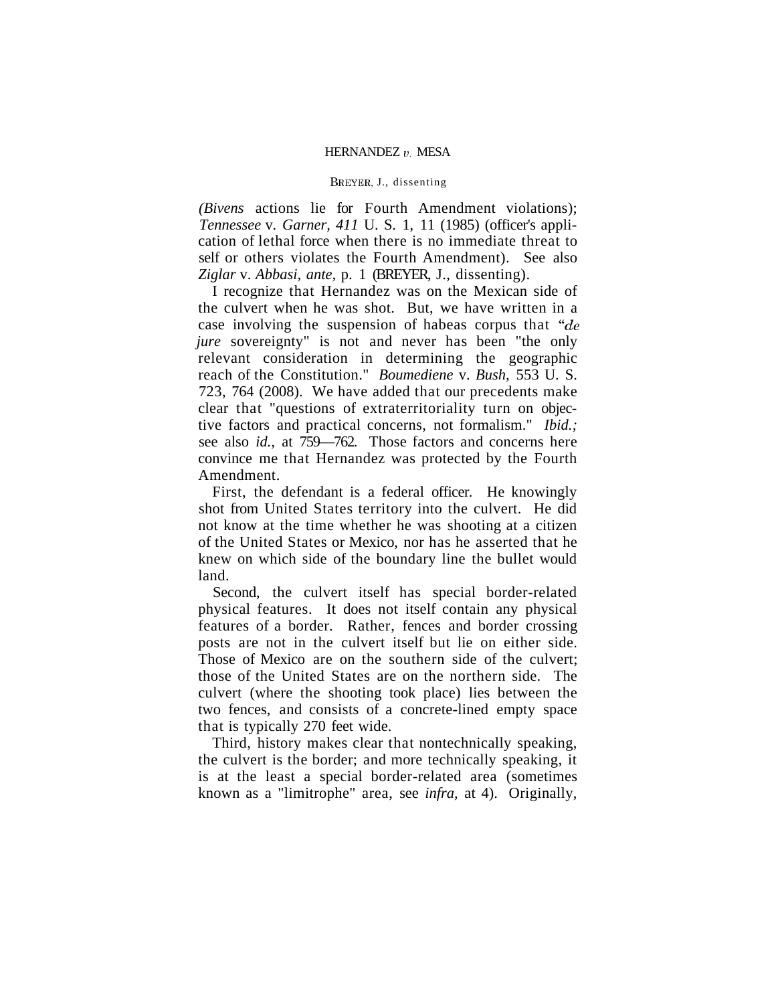#### BREYER, J., dissenting

*(Bivens* actions lie for Fourth Amendment violations); *Tennessee* v. *Garner, 411* U. S. 1, 11 (1985) (officer's application of lethal force when there is no immediate threat to self or others violates the Fourth Amendment). See also *Ziglar* v. *Abbasi, ante,* p. 1 (BREYER, J., dissenting).

I recognize that Hernandez was on the Mexican side of the culvert when he was shot. But, we have written in a case involving the suspension of habeas corpus that *"de jure* sovereignty" is not and never has been "the only relevant consideration in determining the geographic reach of the Constitution." *Boumediene* v. *Bush,* 553 U. S. 723, 764 (2008). We have added that our precedents make clear that "questions of extraterritoriality turn on objective factors and practical concerns, not formalism." *Ibid.;*  see also *id.,* at 759—762. Those factors and concerns here convince me that Hernandez was protected by the Fourth Amendment.

First, the defendant is a federal officer. He knowingly shot from United States territory into the culvert. He did not know at the time whether he was shooting at a citizen of the United States or Mexico, nor has he asserted that he knew on which side of the boundary line the bullet would land.

Second, the culvert itself has special border-related physical features. It does not itself contain any physical features of a border. Rather, fences and border crossing posts are not in the culvert itself but lie on either side. Those of Mexico are on the southern side of the culvert; those of the United States are on the northern side. The culvert (where the shooting took place) lies between the two fences, and consists of a concrete-lined empty space that is typically 270 feet wide.

Third, history makes clear that nontechnically speaking, the culvert is the border; and more technically speaking, it is at the least a special border-related area (sometimes known as a "limitrophe" area, see *infra,* at 4). Originally,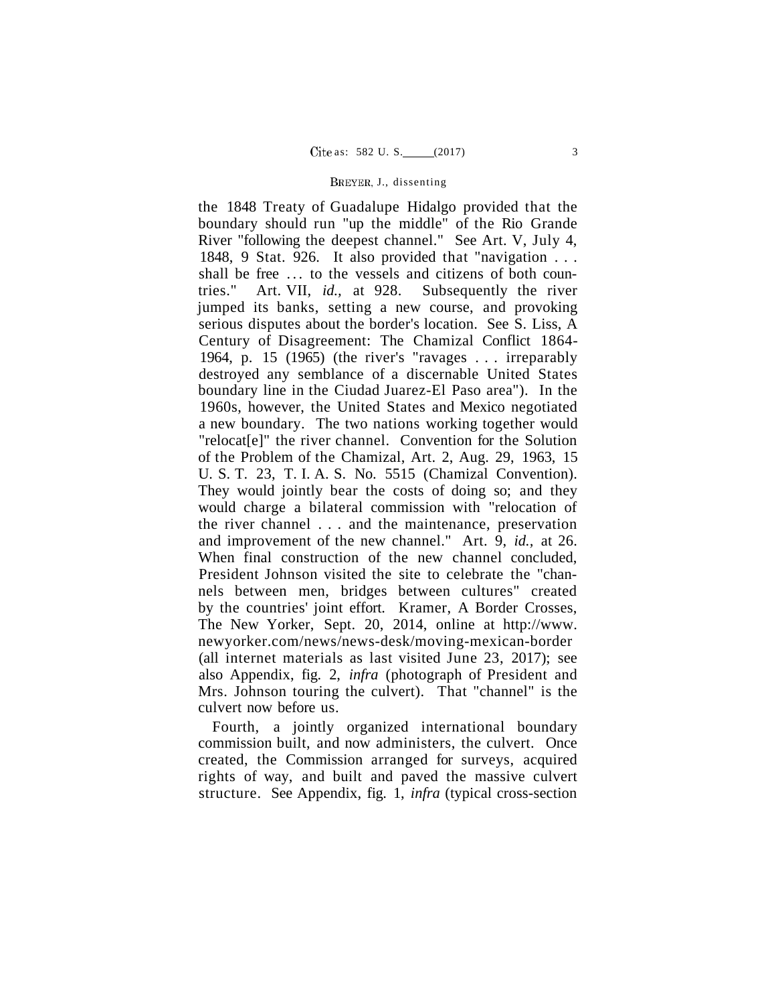#### BKEYEK, J., dissenting

the 1848 Treaty of Guadalupe Hidalgo provided that the boundary should run "up the middle" of the Rio Grande River "following the deepest channel." See Art. V, July 4, 1848, 9 Stat. 926. It also provided that "navigation . . . shall be free ... to the vessels and citizens of both countries." Art. VII, *id.,* at 928. Subsequently the river jumped its banks, setting a new course, and provoking serious disputes about the border's location. See S. Liss, A Century of Disagreement: The Chamizal Conflict 1864- 1964, p. 15 (1965) (the river's "ravages . . . irreparably destroyed any semblance of a discernable United States boundary line in the Ciudad Juarez-El Paso area"). In the 1960s, however, the United States and Mexico negotiated a new boundary. The two nations working together would "relocat[e]" the river channel. Convention for the Solution of the Problem of the Chamizal, Art. 2, Aug. 29, 1963, 15 U. S. T. 23, T. I. A. S. No. 5515 (Chamizal Convention). They would jointly bear the costs of doing so; and they would charge a bilateral commission with "relocation of the river channel . . . and the maintenance, preservation and improvement of the new channel." Art. 9, *id.,* at 26. When final construction of the new channel concluded, President Johnson visited the site to celebrate the "channels between men, bridges between cultures" created by the countries' joint effort. Kramer, A Border Crosses, The New Yorker, Sept. 20, 2014, online at [http://www.](http://www) [newyorker.com/news/news-desk/moving-mexican-border](http://newyorker.com/news/news-desk/moving-mexican-border)  (all internet materials as last visited June 23, 2017); see also Appendix, fig. 2, *infra* (photograph of President and Mrs. Johnson touring the culvert). That "channel" is the culvert now before us.

Fourth, a jointly organized international boundary commission built, and now administers, the culvert. Once created, the Commission arranged for surveys, acquired rights of way, and built and paved the massive culvert structure. See Appendix, fig. 1, *infra* (typical cross-section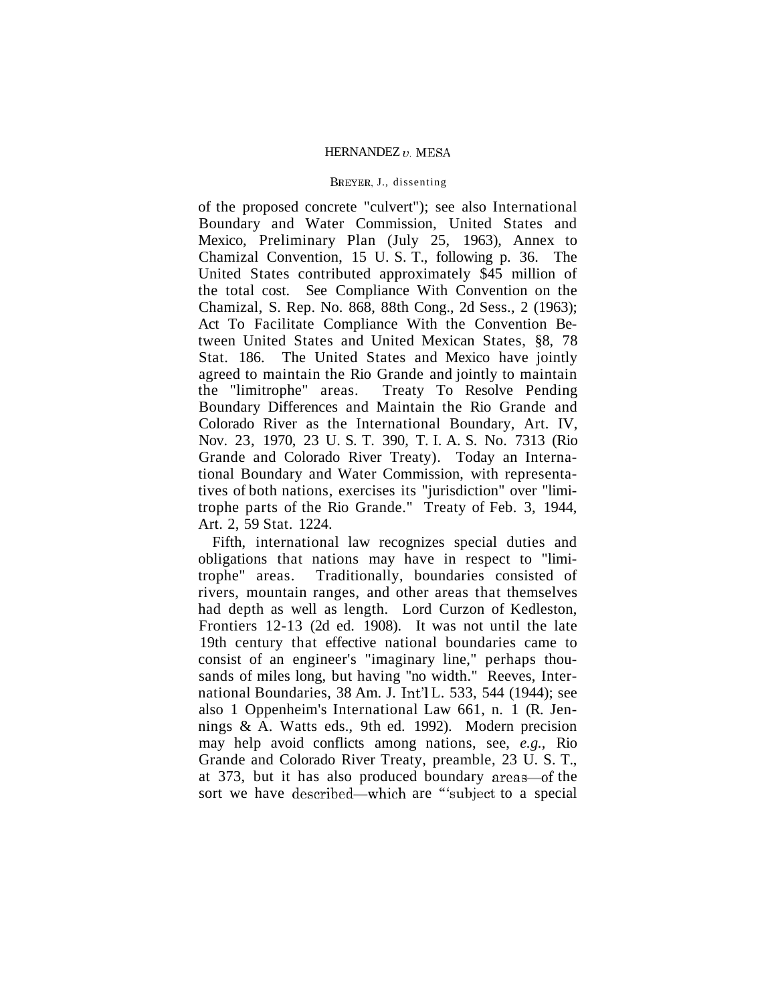#### BREYER, J., dissenting

of the proposed concrete "culvert"); see also International Boundary and Water Commission, United States and Mexico, Preliminary Plan (July 25, 1963), Annex to Chamizal Convention, 15 U. S. T., following p. 36. The United States contributed approximately \$45 million of the total cost. See Compliance With Convention on the Chamizal, S. Rep. No. 868, 88th Cong., 2d Sess., 2 (1963); Act To Facilitate Compliance With the Convention Between United States and United Mexican States, §8, 78 Stat. 186. The United States and Mexico have jointly agreed to maintain the Rio Grande and jointly to maintain the "limitrophe" areas. Treaty To Resolve Pending Boundary Differences and Maintain the Rio Grande and Colorado River as the International Boundary, Art. IV, Nov. 23, 1970, 23 U. S. T. 390, T. I. A. S. No. 7313 (Rio Grande and Colorado River Treaty). Today an International Boundary and Water Commission, with representatives of both nations, exercises its "jurisdiction" over "limitrophe parts of the Rio Grande." Treaty of Feb. 3, 1944, Art. 2, 59 Stat. 1224.

Fifth, international law recognizes special duties and obligations that nations may have in respect to "limitrophe" areas. Traditionally, boundaries consisted of rivers, mountain ranges, and other areas that themselves had depth as well as length. Lord Curzon of Kedleston, Frontiers 12-13 (2d ed. 1908). It was not until the late 19th century that effective national boundaries came to consist of an engineer's "imaginary line," perhaps thousands of miles long, but having "no width." Reeves, International Boundaries, 38 Am. J. Int'l L. 533, 544 (1944); see also 1 Oppenheim's International Law 661, n. 1 (R. Jennings & A. Watts eds., 9th ed. 1992). Modern precision may help avoid conflicts among nations, see, *e.g.,* Rio Grande and Colorado River Treaty, preamble, 23 U. S. T., at 373, but it has also produced boundary areas—of the sort we have described—which are "subject to a special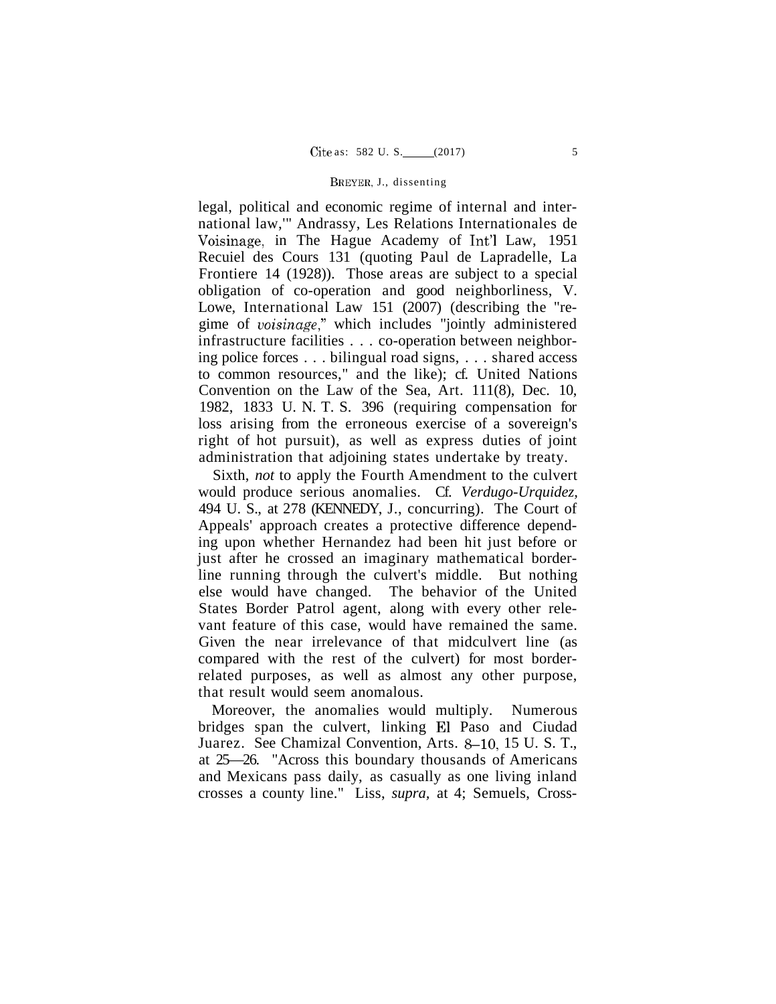#### BREYER, J., dissenting

legal, political and economic regime of internal and international law,'" Andrassy, Les Relations Internationales de Voisinage, in The Hague Academy of Int'l Law, 1951 Recuiel des Cours 131 (quoting Paul de Lapradelle, La Frontiere 14 (1928)). Those areas are subject to a special obligation of co-operation and good neighborliness, V. Lowe, International Law 151 (2007) (describing the "regime of *voisinage,"* which includes "jointly administered infrastructure facilities . . . co-operation between neighboring police forces . . . bilingual road signs, . . . shared access to common resources," and the like); cf. United Nations Convention on the Law of the Sea, Art. 111(8), Dec. 10, 1982, 1833 U. N. T. S. 396 (requiring compensation for loss arising from the erroneous exercise of a sovereign's right of hot pursuit), as well as express duties of joint administration that adjoining states undertake by treaty.

Sixth, *not* to apply the Fourth Amendment to the culvert would produce serious anomalies. Cf. *Verdugo-Urquidez,*  494 U. S., at 278 (KENNEDY, J., concurring). The Court of Appeals' approach creates a protective difference depending upon whether Hernandez had been hit just before or just after he crossed an imaginary mathematical borderline running through the culvert's middle. But nothing else would have changed. The behavior of the United States Border Patrol agent, along with every other relevant feature of this case, would have remained the same. Given the near irrelevance of that midculvert line (as compared with the rest of the culvert) for most borderrelated purposes, as well as almost any other purpose, that result would seem anomalous.

Moreover, the anomalies would multiply. Numerous bridges span the culvert, linking El Paso and Ciudad Juarez. See Chamizal Convention, Arts. 8-10, 15 U. S. T., at 25—26. "Across this boundary thousands of Americans and Mexicans pass daily, as casually as one living inland crosses a county line." Liss, *supra,* at 4; Semuels, Cross-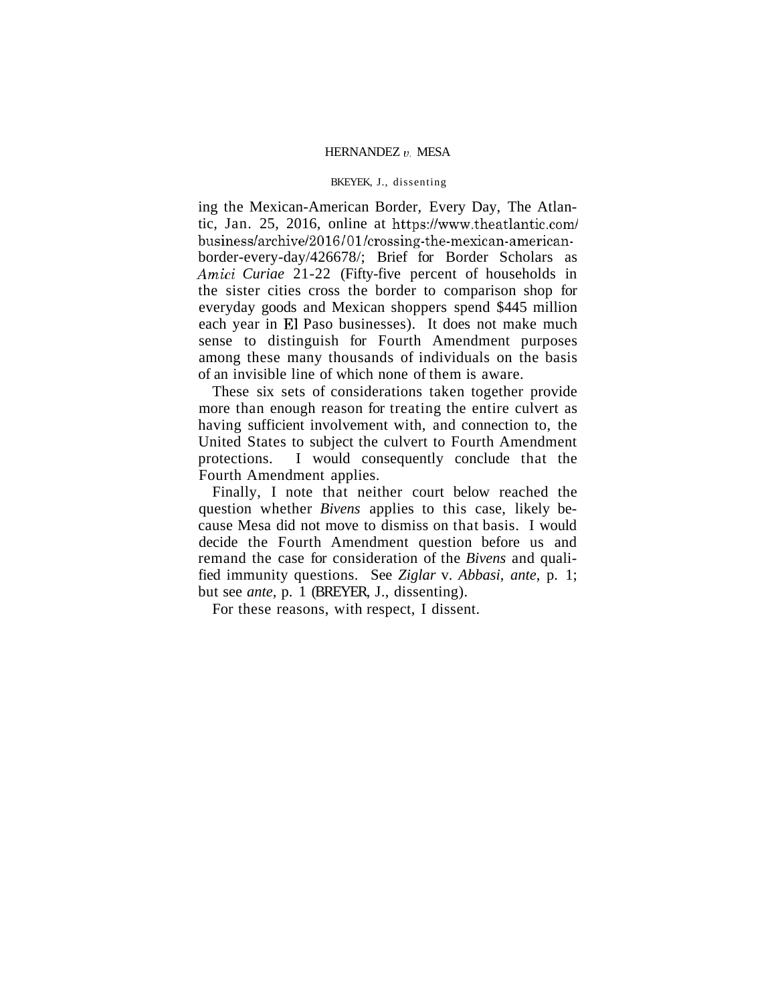#### BKEYEK, J., dissenting

ing the Mexican-American Border, Every Day, The Atlantic, Jan. 25, 2016, online at <https://www.theatlantic.com/> business/archive/2016/01/crossing-the-mexican-americanborder-every-day/426678/; Brief for Border Scholars as *Amici Curiae* 21-22 (Fifty-five percent of households in the sister cities cross the border to comparison shop for everyday goods and Mexican shoppers spend \$445 million each year in El Paso businesses). It does not make much sense to distinguish for Fourth Amendment purposes among these many thousands of individuals on the basis of an invisible line of which none of them is aware.

These six sets of considerations taken together provide more than enough reason for treating the entire culvert as having sufficient involvement with, and connection to, the United States to subject the culvert to Fourth Amendment protections. I would consequently conclude that the Fourth Amendment applies.

Finally, I note that neither court below reached the question whether *Bivens* applies to this case, likely because Mesa did not move to dismiss on that basis. I would decide the Fourth Amendment question before us and remand the case for consideration of the *Bivens* and qualified immunity questions. See *Ziglar* v. *Abbasi, ante,* p. 1; but see *ante,* p. 1 (BREYER, J., dissenting).

For these reasons, with respect, I dissent.